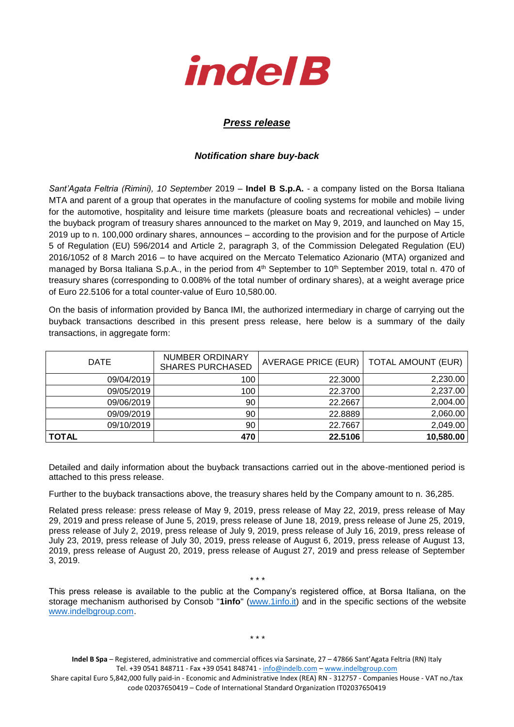

## *Press release*

## *Notification share buy-back*

*Sant'Agata Feltria (Rimini), 10 September* 2019 – **Indel B S.p.A.** - a company listed on the Borsa Italiana MTA and parent of a group that operates in the manufacture of cooling systems for mobile and mobile living for the automotive, hospitality and leisure time markets (pleasure boats and recreational vehicles) – under the buyback program of treasury shares announced to the market on May 9, 2019, and launched on May 15, 2019 up to n. 100,000 ordinary shares, announces – according to the provision and for the purpose of Article 5 of Regulation (EU) 596/2014 and Article 2, paragraph 3, of the Commission Delegated Regulation (EU) 2016/1052 of 8 March 2016 – to have acquired on the Mercato Telematico Azionario (MTA) organized and managed by Borsa Italiana S.p.A., in the period from 4<sup>th</sup> September to 10<sup>th</sup> September 2019, total n. 470 of treasury shares (corresponding to 0.008% of the total number of ordinary shares), at a weight average price of Euro 22.5106 for a total counter-value of Euro 10,580.00.

On the basis of information provided by Banca IMI, the authorized intermediary in charge of carrying out the buyback transactions described in this present press release, here below is a summary of the daily transactions, in aggregate form:

| <b>DATE</b> | <b>NUMBER ORDINARY</b><br><b>SHARES PURCHASED</b> | AVERAGE PRICE (EUR)   TOTAL AMOUNT (EUR) |           |
|-------------|---------------------------------------------------|------------------------------------------|-----------|
| 09/04/2019  | 100                                               | 22.3000                                  | 2,230.00  |
| 09/05/2019  | 100                                               | 22.3700                                  | 2,237.00  |
| 09/06/2019  | 90                                                | 22.2667                                  | 2,004.00  |
| 09/09/2019  | 90                                                | 22.8889                                  | 2,060.00  |
| 09/10/2019  | 90                                                | 22.7667                                  | 2,049.00  |
| TOTAL       | 470                                               | 22.5106                                  | 10,580.00 |

Detailed and daily information about the buyback transactions carried out in the above-mentioned period is attached to this press release.

Further to the buyback transactions above, the treasury shares held by the Company amount to n. 36,285.

Related press release: press release of May 9, 2019, press release of May 22, 2019, press release of May 29, 2019 and press release of June 5, 2019, press release of June 18, 2019, press release of June 25, 2019, press release of July 2, 2019, press release of July 9, 2019, press release of July 16, 2019, press release of July 23, 2019, press release of July 30, 2019, press release of August 6, 2019, press release of August 13, 2019, press release of August 20, 2019, press release of August 27, 2019 and press release of September 3, 2019.

This press release is available to the public at the Company's registered office, at Borsa Italiana, on the storage mechanism authorised by Consob "**1info**" [\(www.1info.it\)](file:///C:/Users/ddelietovollaro/AppData/Local/Microsoft/Windows/INetCache/Content.Outlook/T87B94UR/www.1info.it) and in the specific sections of the website [www.indelbgroup.com.](http://www.indelbgroup.com/)

\* \* \*

**Indel B Spa** – Registered, administrative and commercial offices via Sarsinate, 27 – 47866 Sant'Agata Feltria (RN) Italy Tel. +39 0541 848711 - Fax +39 0541 848741 - [info@indelb.com](mailto:info@indelb.com) – [www.indelbgroup.com](http://www.indelbgroup.com/)

Share capital Euro 5,842,000 fully paid-in - Economic and Administrative Index (REA) RN - 312757 - Companies House - VAT no./tax code 02037650419 – Code of International Standard Organization IT02037650419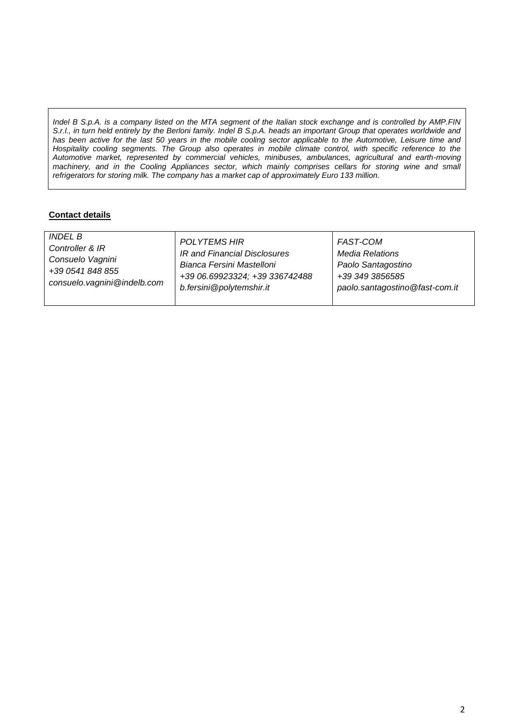*Indel B S.p.A. is a company listed on the MTA segment of the Italian stock exchange and is controlled by AMP.FIN S.r.l., in turn held entirely by the Berloni family. Indel B S.p.A. heads an important Group that operates worldwide and has been active for the last 50 years in the mobile cooling sector applicable to the Automotive, Leisure time and Hospitality cooling segments. The Group also operates in mobile climate control, with specific reference to the Automotive market, represented by commercial vehicles, minibuses, ambulances, agricultural and earth-moving*  machinery, and in the Cooling Appliances sector, which mainly comprises cellars for storing wine and small *refrigerators for storing milk. The company has a market cap of approximately Euro 133 million.*

## **Contact details**

| <i><b>INDEL B</b></i>       | <b>POLYTEMS HIR</b>            | FAST-COM                       |
|-----------------------------|--------------------------------|--------------------------------|
| Controller & IR             | IR and Financial Disclosures   | <b>Media Relations</b>         |
| Consuelo Vagnini            | Bianca Fersini Mastelloni      | Paolo Santagostino             |
| +39 0541 848 855            | +39 06.69923324; +39 336742488 | +39 349 3856585                |
| consuelo.vagnini@indelb.com | b.fersini@polytemshir.it       | paolo.santagostino@fast-com.it |